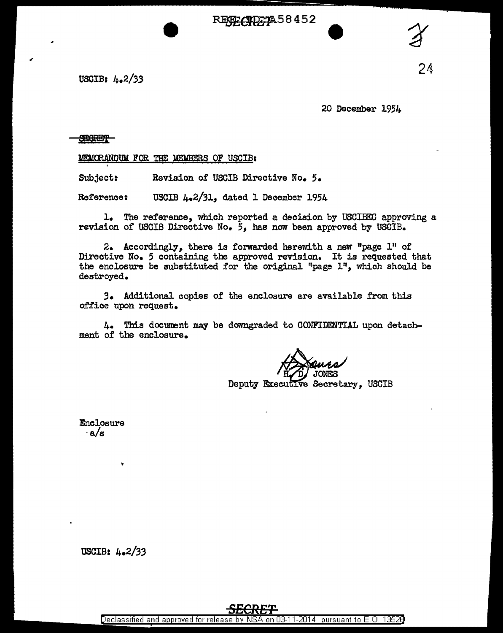RENE CIDE 7A58452



20 December 1954

## **SECRET**

'

MEMORANDUM FOR THE MEMBERS OF USCIB:

Subject: Revision of USCIB Directive No. 5.

Reference: USCIB  $\mu_e$ 2/31, dated 1 December 1954

1. The reference, which reported a decision by USCIBEC approving a revision of USCIB Directive No. *5*1 has now been approved by USCIB.

2. Accordingly, there is forwarded herewith a new "page 1" of Directive No. 5 containing the approved revision. It is requested that the enclosure be substituted for the original "page 1", which should be destroyed.

*3.* Additional copies of the enclosure are available from this office upon request.

4. This document may be downgraded to CONFIDENTIAL upon detachment of the enclosure.

Deputy Executive Secretary, USCIB

Enclosure ·a/s

24

USCIB: 4.2/33